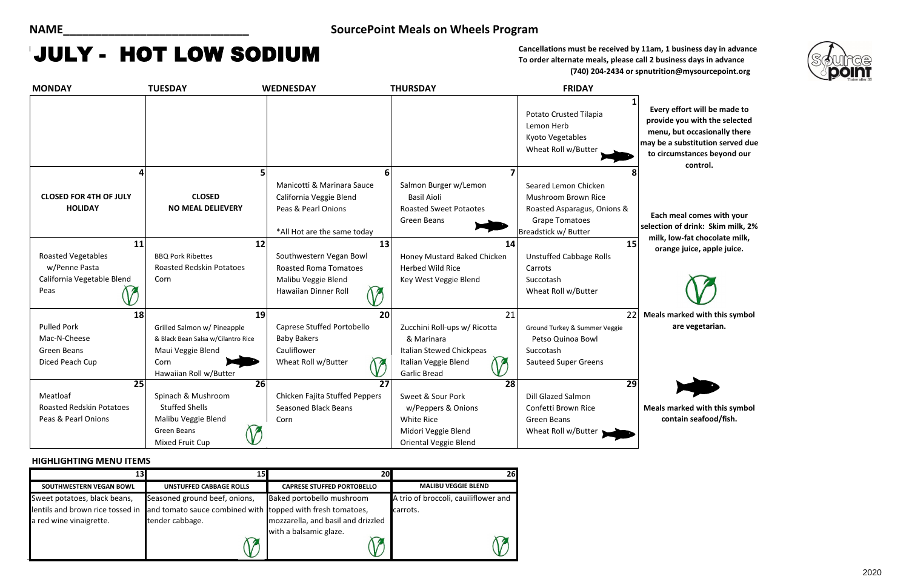**To order alternate meals, please call 2 business days in advance (740) 204-2434 or spnutrition@mysourcepoint.org**

### **HIGHLIGHTING MENU ITEMS**

**Meals marked with this symbol are vegetarian.**

**Meals marked with this symbol contain seafood/fish.**

| <b>MONDAY</b>                                   | <b>TUESDAY</b>                            | <b>WEDNESDAY</b>                                                                                            | <b>THURSDAY</b>                                                                                    | <b>FRIDAY</b>                                                                                                               |                                                      |
|-------------------------------------------------|-------------------------------------------|-------------------------------------------------------------------------------------------------------------|----------------------------------------------------------------------------------------------------|-----------------------------------------------------------------------------------------------------------------------------|------------------------------------------------------|
|                                                 |                                           |                                                                                                             |                                                                                                    | Potato Crusted Tilapia<br>Lemon Herb<br>Kyoto Vegetables<br>Wheat Roll w/Butter                                             | <b>Every</b><br>provid<br>menu,<br>may be<br>to circ |
|                                                 |                                           | 6                                                                                                           |                                                                                                    |                                                                                                                             |                                                      |
| <b>CLOSED FOR 4TH OF JULY</b><br><b>HOLIDAY</b> | <b>CLOSED</b><br><b>NO MEAL DELIEVERY</b> | Manicotti & Marinara Sauce<br>California Veggie Blend<br>Peas & Pearl Onions<br>*All Hot are the same today | Salmon Burger w/Lemon<br><b>Basil Aioli</b><br><b>Roasted Sweet Potaotes</b><br><b>Green Beans</b> | Seared Lemon Chicken<br>Mushroom Brown Rice<br>Roasted Asparagus, Onions &<br><b>Grape Tomatoes</b><br>Breadstick w/ Butter | Each<br>selection<br>milk,                           |
| 11                                              | 12                                        | 13                                                                                                          | 14                                                                                                 | 15                                                                                                                          | orar                                                 |
| <b>Roasted Vegetables</b>                       | <b>BBQ Pork Ribettes</b>                  | Southwestern Vegan Bowl                                                                                     | Honey Mustard Baked Chicken                                                                        | <b>Unstuffed Cabbage Rolls</b>                                                                                              |                                                      |
| w/Penne Pasta                                   | <b>Roasted Redskin Potatoes</b>           | <b>Roasted Roma Tomatoes</b>                                                                                | <b>Herbed Wild Rice</b>                                                                            | Carrots                                                                                                                     |                                                      |
| California Vegetable Blend                      | Corn                                      | Malibu Veggie Blend                                                                                         | Key West Veggie Blend                                                                              | Succotash                                                                                                                   |                                                      |
| Peas                                            |                                           | Hawaiian Dinner Roll                                                                                        |                                                                                                    | Wheat Roll w/Butter                                                                                                         |                                                      |
| 18                                              | 19                                        | 20                                                                                                          | 21                                                                                                 | 22                                                                                                                          | <b>Meals</b> r                                       |
| <b>Pulled Pork</b>                              | Grilled Salmon w/ Pineapple               | Caprese Stuffed Portobello                                                                                  | Zucchini Roll-ups w/ Ricotta                                                                       | Ground Turkey & Summer Veggie                                                                                               |                                                      |
| Mac-N-Cheese                                    | & Black Bean Salsa w/Cilantro Rice        | <b>Baby Bakers</b>                                                                                          | & Marinara                                                                                         | Petso Quinoa Bowl                                                                                                           |                                                      |
| <b>Green Beans</b>                              | Maui Veggie Blend                         | Cauliflower                                                                                                 | Italian Stewed Chickpeas                                                                           | Succotash                                                                                                                   |                                                      |
| Diced Peach Cup                                 | Corn                                      | Wheat Roll w/Butter<br><b>SP</b>                                                                            | Italian Veggie Blend                                                                               | <b>Sauteed Super Greens</b>                                                                                                 |                                                      |
|                                                 | Hawaiian Roll w/Butter                    |                                                                                                             | <b>Garlic Bread</b>                                                                                |                                                                                                                             |                                                      |
| $\overline{25}$                                 | 26                                        | $\overline{27}$                                                                                             | 28                                                                                                 | $\overline{29}$                                                                                                             |                                                      |
| Meatloaf                                        | Spinach & Mushroom                        | Chicken Fajita Stuffed Peppers                                                                              | Sweet & Sour Pork                                                                                  | <b>Dill Glazed Salmon</b>                                                                                                   |                                                      |
| <b>Roasted Redskin Potatoes</b>                 | <b>Stuffed Shells</b>                     | <b>Seasoned Black Beans</b>                                                                                 | w/Peppers & Onions                                                                                 | Confetti Brown Rice                                                                                                         | Meals r                                              |
| Peas & Pearl Onions                             | Malibu Veggie Blend                       | Corn                                                                                                        | <b>White Rice</b>                                                                                  | Green Beans                                                                                                                 | CO                                                   |
|                                                 | Green Beans                               |                                                                                                             | Midori Veggie Blend                                                                                | Wheat Roll w/Butter                                                                                                         |                                                      |
|                                                 | Mixed Fruit Cup                           |                                                                                                             | <b>Oriental Veggie Blend</b>                                                                       |                                                                                                                             |                                                      |

## **NAME\_\_\_\_\_\_\_\_\_\_\_\_\_\_\_\_\_\_\_\_\_\_\_\_\_\_\_\_\_ SourcePoint Meals on Wheels Program**

# **ULY - HOT LOW SODIUM**<br>To order alternate meals, please call 2 business days in advance

**Every effort will be made to provide you with the selected menu, but occasionally there may be a substitution served due to circumstances beyond our control.**

|                                  |                                                            | 20                                 | 26                                   |
|----------------------------------|------------------------------------------------------------|------------------------------------|--------------------------------------|
| SOUTHWESTERN VEGAN BOWL          | UNSTUFFED CABBAGE ROLLS                                    | <b>CAPRESE STUFFED PORTOBELLO</b>  | <b>MALIBU VEGGIE BLEND</b>           |
| Sweet potatoes, black beans,     | Seasoned ground beef, onions,                              | Baked portobello mushroom          | A trio of broccoli, cauiliflower and |
| lentils and brown rice tossed in | and tomato sauce combined with topped with fresh tomatoes, |                                    | carrots.                             |
| a red wine vinaigrette.          | tender cabbage.                                            | mozzarella, and basil and drizzled |                                      |
|                                  |                                                            | with a balsamic glaze.             |                                      |
|                                  |                                                            |                                    |                                      |
|                                  |                                                            |                                    |                                      |



**Each meal comes with your selection of drink: Skim milk, 2%**  low-fat chocolate milk, **orange juice, apple juice.**